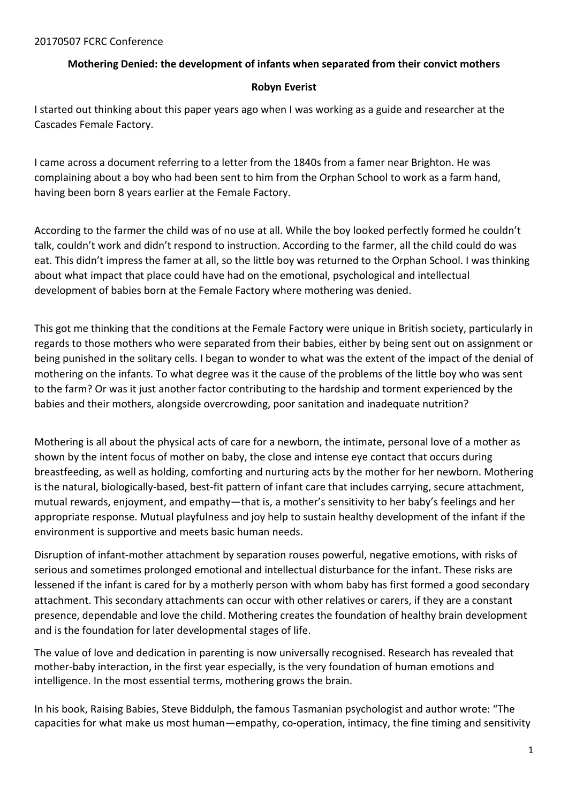## **Mothering Denied: the development of infants when separated from their convict mothers**

## **Robyn Everist**

I started out thinking about this paper years ago when I was working as a guide and researcher at the Cascades Female Factory.

I came across a document referring to a letter from the 1840s from a famer near Brighton. He was complaining about a boy who had been sent to him from the Orphan School to work as a farm hand, having been born 8 years earlier at the Female Factory.

According to the farmer the child was of no use at all. While the boy looked perfectly formed he couldn't talk, couldn't work and didn't respond to instruction. According to the farmer, all the child could do was eat. This didn't impress the famer at all, so the little boy was returned to the Orphan School. I was thinking about what impact that place could have had on the emotional, psychological and intellectual development of babies born at the Female Factory where mothering was denied.

This got me thinking that the conditions at the Female Factory were unique in British society, particularly in regards to those mothers who were separated from their babies, either by being sent out on assignment or being punished in the solitary cells. I began to wonder to what was the extent of the impact of the denial of mothering on the infants. To what degree was it the cause of the problems of the little boy who was sent to the farm? Or was it just another factor contributing to the hardship and torment experienced by the babies and their mothers, alongside overcrowding, poor sanitation and inadequate nutrition?

Mothering is all about the physical acts of care for a newborn, the intimate, personal love of a mother as shown by the intent focus of mother on baby, the close and intense eye contact that occurs during breastfeeding, as well as holding, comforting and nurturing acts by the mother for her newborn. Mothering is the natural, biologically-based, best-fit pattern of infant care that includes carrying, secure attachment, mutual rewards, enjoyment, and empathy—that is, a mother's sensitivity to her baby's feelings and her appropriate response. Mutual playfulness and joy help to sustain healthy development of the infant if the environment is supportive and meets basic human needs.

Disruption of infant-mother attachment by separation rouses powerful, negative emotions, with risks of serious and sometimes prolonged emotional and intellectual disturbance for the infant. These risks are lessened if the infant is cared for by a motherly person with whom baby has first formed a good secondary attachment. This secondary attachments can occur with other relatives or carers, if they are a constant presence, dependable and love the child. Mothering creates the foundation of healthy brain development and is the foundation for later developmental stages of life.

The value of love and dedication in parenting is now universally recognised. Research has revealed that mother-baby interaction, in the first year especially, is the very foundation of human emotions and intelligence. In the most essential terms, mothering grows the brain.

In his book, Raising Babies, Steve Biddulph, the famous Tasmanian psychologist and author wrote: "The capacities for what make us most human—empathy, co-operation, intimacy, the fine timing and sensitivity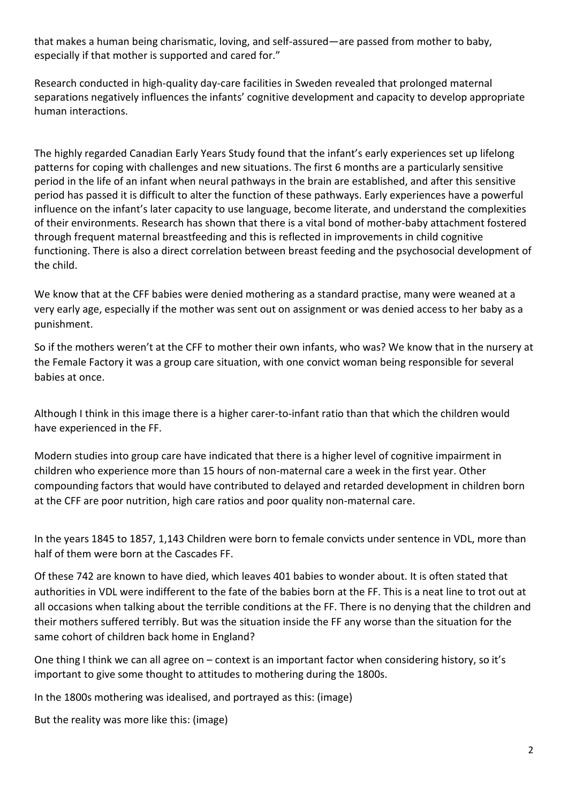that makes a human being charismatic, loving, and self-assured—are passed from mother to baby, especially if that mother is supported and cared for."

Research conducted in high-quality day-care facilities in Sweden revealed that prolonged maternal separations negatively influences the infants' cognitive development and capacity to develop appropriate human interactions.

The highly regarded Canadian Early Years Study found that the infant's early experiences set up lifelong patterns for coping with challenges and new situations. The first 6 months are a particularly sensitive period in the life of an infant when neural pathways in the brain are established, and after this sensitive period has passed it is difficult to alter the function of these pathways. Early experiences have a powerful influence on the infant's later capacity to use language, become literate, and understand the complexities of their environments. Research has shown that there is a vital bond of mother-baby attachment fostered through frequent maternal breastfeeding and this is reflected in improvements in child cognitive functioning. There is also a direct correlation between breast feeding and the psychosocial development of the child.

We know that at the CFF babies were denied mothering as a standard practise, many were weaned at a very early age, especially if the mother was sent out on assignment or was denied access to her baby as a punishment.

So if the mothers weren't at the CFF to mother their own infants, who was? We know that in the nursery at the Female Factory it was a group care situation, with one convict woman being responsible for several babies at once.

Although I think in this image there is a higher carer-to-infant ratio than that which the children would have experienced in the FF.

Modern studies into group care have indicated that there is a higher level of cognitive impairment in children who experience more than 15 hours of non-maternal care a week in the first year. Other compounding factors that would have contributed to delayed and retarded development in children born at the CFF are poor nutrition, high care ratios and poor quality non-maternal care.

In the years 1845 to 1857, 1,143 Children were born to female convicts under sentence in VDL, more than half of them were born at the Cascades FF.

Of these 742 are known to have died, which leaves 401 babies to wonder about. It is often stated that authorities in VDL were indifferent to the fate of the babies born at the FF. This is a neat line to trot out at all occasions when talking about the terrible conditions at the FF. There is no denying that the children and their mothers suffered terribly. But was the situation inside the FF any worse than the situation for the same cohort of children back home in England?

One thing I think we can all agree on – context is an important factor when considering history, so it's important to give some thought to attitudes to mothering during the 1800s.

In the 1800s mothering was idealised, and portrayed as this: (image)

But the reality was more like this: (image)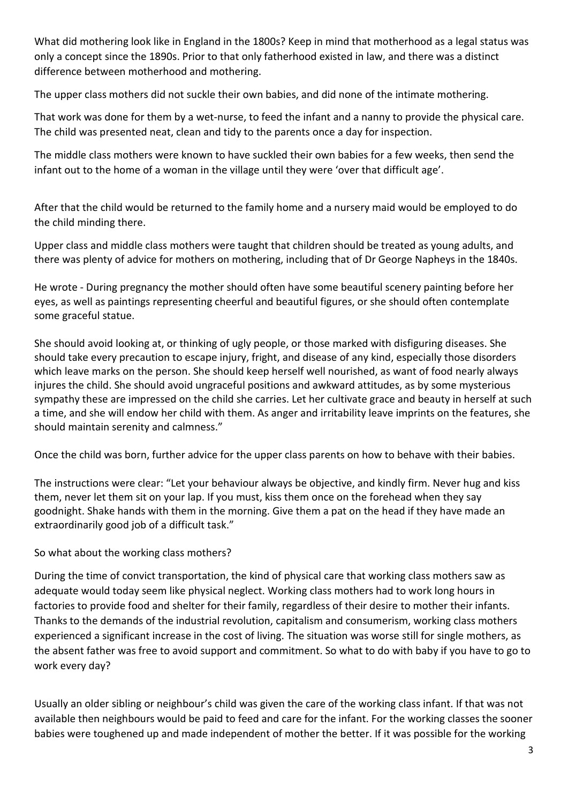What did mothering look like in England in the 1800s? Keep in mind that motherhood as a legal status was only a concept since the 1890s. Prior to that only fatherhood existed in law, and there was a distinct difference between motherhood and mothering.

The upper class mothers did not suckle their own babies, and did none of the intimate mothering.

That work was done for them by a wet-nurse, to feed the infant and a nanny to provide the physical care. The child was presented neat, clean and tidy to the parents once a day for inspection.

The middle class mothers were known to have suckled their own babies for a few weeks, then send the infant out to the home of a woman in the village until they were 'over that difficult age'.

After that the child would be returned to the family home and a nursery maid would be employed to do the child minding there.

Upper class and middle class mothers were taught that children should be treated as young adults, and there was plenty of advice for mothers on mothering, including that of Dr George Napheys in the 1840s.

He wrote - During pregnancy the mother should often have some beautiful scenery painting before her eyes, as well as paintings representing cheerful and beautiful figures, or she should often contemplate some graceful statue.

She should avoid looking at, or thinking of ugly people, or those marked with disfiguring diseases. She should take every precaution to escape injury, fright, and disease of any kind, especially those disorders which leave marks on the person. She should keep herself well nourished, as want of food nearly always injures the child. She should avoid ungraceful positions and awkward attitudes, as by some mysterious sympathy these are impressed on the child she carries. Let her cultivate grace and beauty in herself at such a time, and she will endow her child with them. As anger and irritability leave imprints on the features, she should maintain serenity and calmness."

Once the child was born, further advice for the upper class parents on how to behave with their babies.

The instructions were clear: "Let your behaviour always be objective, and kindly firm. Never hug and kiss them, never let them sit on your lap. If you must, kiss them once on the forehead when they say goodnight. Shake hands with them in the morning. Give them a pat on the head if they have made an extraordinarily good job of a difficult task."

So what about the working class mothers?

During the time of convict transportation, the kind of physical care that working class mothers saw as adequate would today seem like physical neglect. Working class mothers had to work long hours in factories to provide food and shelter for their family, regardless of their desire to mother their infants. Thanks to the demands of the industrial revolution, capitalism and consumerism, working class mothers experienced a significant increase in the cost of living. The situation was worse still for single mothers, as the absent father was free to avoid support and commitment. So what to do with baby if you have to go to work every day?

Usually an older sibling or neighbour's child was given the care of the working class infant. If that was not available then neighbours would be paid to feed and care for the infant. For the working classes the sooner babies were toughened up and made independent of mother the better. If it was possible for the working